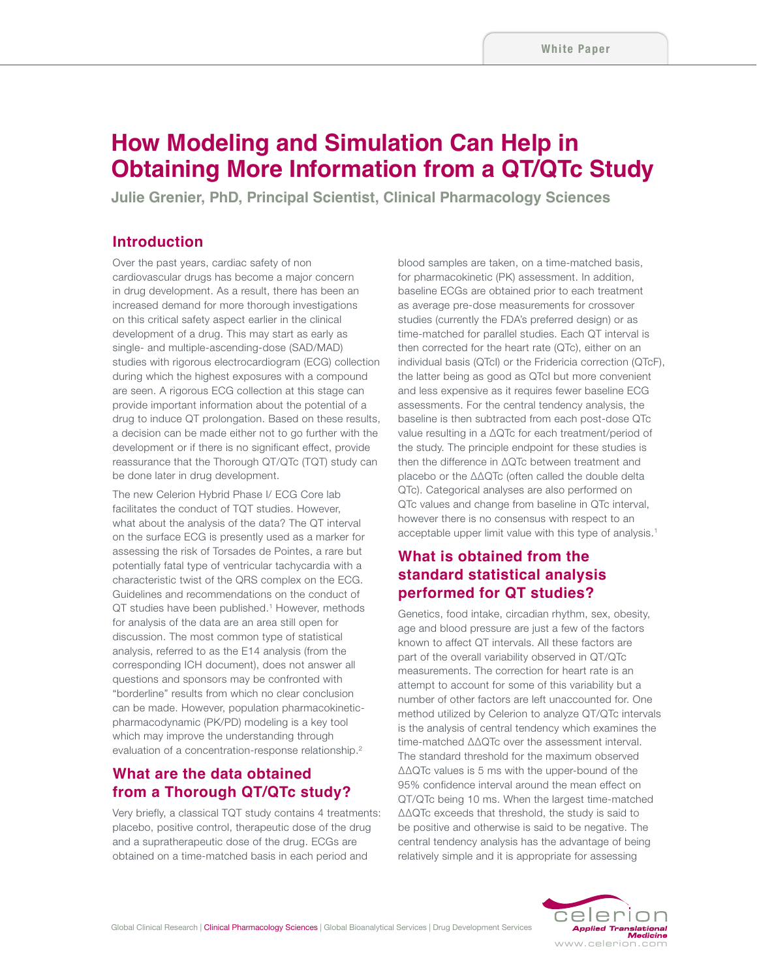# **How Modeling and Simulation Can Help in Obtaining More Information from a QT/QTc Study**

**Julie Grenier, PhD, Principal Scientist, Clinical Pharmacology Sciences**

#### **Introduction**

Over the past years, cardiac safety of non cardiovascular drugs has become a major concern in drug development. As a result, there has been an increased demand for more thorough investigations on this critical safety aspect earlier in the clinical development of a drug. This may start as early as single- and multiple-ascending-dose (SAD/MAD) studies with rigorous electrocardiogram (ECG) collection during which the highest exposures with a compound are seen. A rigorous ECG collection at this stage can provide important information about the potential of a drug to induce QT prolongation. Based on these results, a decision can be made either not to go further with the development or if there is no significant effect, provide reassurance that the Thorough QT/QTc (TQT) study can be done later in drug development.

The new Celerion Hybrid Phase I/ ECG Core lab facilitates the conduct of TQT studies. However, what about the analysis of the data? The QT interval on the surface ECG is presently used as a marker for assessing the risk of Torsades de Pointes, a rare but potentially fatal type of ventricular tachycardia with a characteristic twist of the QRS complex on the ECG. Guidelines and recommendations on the conduct of QT studies have been published.<sup>1</sup> However, methods for analysis of the data are an area still open for discussion. The most common type of statistical analysis, referred to as the E14 analysis (from the corresponding ICH document), does not answer all questions and sponsors may be confronted with "borderline" results from which no clear conclusion can be made. However, population pharmacokineticpharmacodynamic (PK/PD) modeling is a key tool which may improve the understanding through evaluation of a concentration-response relationship.<sup>2</sup>

### **What are the data obtained from a Thorough QT/QTc study?**

Very briefly, a classical TQT study contains 4 treatments: placebo, positive control, therapeutic dose of the drug and a supratherapeutic dose of the drug. ECGs are obtained on a time-matched basis in each period and

blood samples are taken, on a time-matched basis, for pharmacokinetic (PK) assessment. In addition, baseline ECGs are obtained prior to each treatment as average pre-dose measurements for crossover studies (currently the FDA's preferred design) or as time-matched for parallel studies. Each QT interval is then corrected for the heart rate (QTc), either on an individual basis (QTcI) or the Fridericia correction (QTcF), the latter being as good as QTcI but more convenient and less expensive as it requires fewer baseline ECG assessments. For the central tendency analysis, the baseline is then subtracted from each post-dose QTc value resulting in a ΔQTc for each treatment/period of the study. The principle endpoint for these studies is then the difference in ΔQTc between treatment and placebo or the ΔΔQTc (often called the double delta QTc). Categorical analyses are also performed on QTc values and change from baseline in QTc interval, however there is no consensus with respect to an acceptable upper limit value with this type of analysis.<sup>1</sup>

## **What is obtained from the standard statistical analysis performed for QT studies?**

Genetics, food intake, circadian rhythm, sex, obesity, age and blood pressure are just a few of the factors known to affect QT intervals. All these factors are part of the overall variability observed in QT/QTc measurements. The correction for heart rate is an attempt to account for some of this variability but a number of other factors are left unaccounted for. One method utilized by Celerion to analyze QT/QTc intervals is the analysis of central tendency which examines the time-matched ΔΔQTc over the assessment interval. The standard threshold for the maximum observed ΔΔQTc values is 5 ms with the upper-bound of the 95% confidence interval around the mean effect on QT/QTc being 10 ms. When the largest time-matched ΔΔQTc exceeds that threshold, the study is said to be positive and otherwise is said to be negative. The central tendency analysis has the advantage of being relatively simple and it is appropriate for assessing

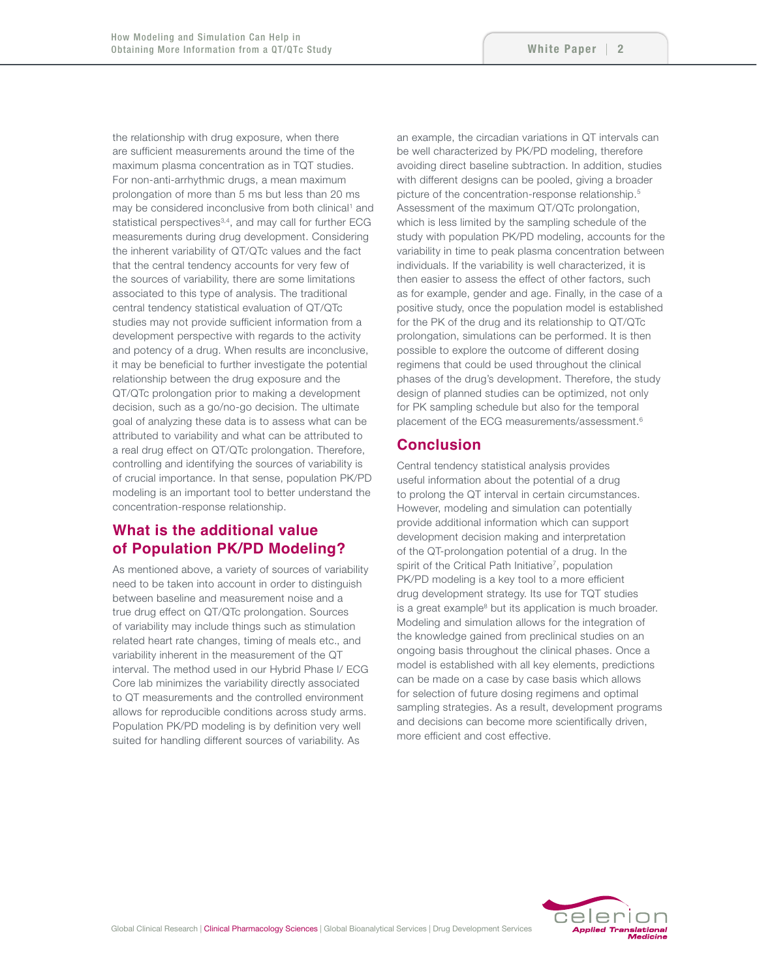the relationship with drug exposure, when there are sufficient measurements around the time of the maximum plasma concentration as in TQT studies. For non-anti-arrhythmic drugs, a mean maximum prolongation of more than 5 ms but less than 20 ms may be considered inconclusive from both clinical<sup>1</sup> and statistical perspectives<sup>3,4</sup>, and may call for further ECG measurements during drug development. Considering the inherent variability of QT/QTc values and the fact that the central tendency accounts for very few of the sources of variability, there are some limitations associated to this type of analysis. The traditional central tendency statistical evaluation of QT/QTc studies may not provide sufficient information from a development perspective with regards to the activity and potency of a drug. When results are inconclusive, it may be beneficial to further investigate the potential relationship between the drug exposure and the QT/QTc prolongation prior to making a development decision, such as a go/no-go decision. The ultimate goal of analyzing these data is to assess what can be attributed to variability and what can be attributed to a real drug effect on QT/QTc prolongation. Therefore, controlling and identifying the sources of variability is of crucial importance. In that sense, population PK/PD modeling is an important tool to better understand the concentration-response relationship.

## **What is the additional value of Population PK/PD Modeling?**

As mentioned above, a variety of sources of variability need to be taken into account in order to distinguish between baseline and measurement noise and a true drug effect on QT/QTc prolongation. Sources of variability may include things such as stimulation related heart rate changes, timing of meals etc., and variability inherent in the measurement of the QT interval. The method used in our Hybrid Phase I/ ECG Core lab minimizes the variability directly associated to QT measurements and the controlled environment allows for reproducible conditions across study arms. Population PK/PD modeling is by definition very well suited for handling different sources of variability. As

an example, the circadian variations in QT intervals can be well characterized by PK/PD modeling, therefore avoiding direct baseline subtraction. In addition, studies with different designs can be pooled, giving a broader picture of the concentration-response relationship.<sup>5</sup> Assessment of the maximum QT/QTc prolongation, which is less limited by the sampling schedule of the study with population PK/PD modeling, accounts for the variability in time to peak plasma concentration between individuals. If the variability is well characterized, it is then easier to assess the effect of other factors, such as for example, gender and age. Finally, in the case of a positive study, once the population model is established for the PK of the drug and its relationship to QT/QTc prolongation, simulations can be performed. It is then possible to explore the outcome of different dosing regimens that could be used throughout the clinical phases of the drug's development. Therefore, the study design of planned studies can be optimized, not only for PK sampling schedule but also for the temporal placement of the ECG measurements/assessment.<sup>6</sup>

#### **Conclusion**

Central tendency statistical analysis provides useful information about the potential of a drug to prolong the QT interval in certain circumstances. However, modeling and simulation can potentially provide additional information which can support development decision making and interpretation of the QT-prolongation potential of a drug. In the spirit of the Critical Path Initiative<sup>7</sup>, population PK/PD modeling is a key tool to a more efficient drug development strategy. Its use for TQT studies is a great example<sup>8</sup> but its application is much broader. Modeling and simulation allows for the integration of the knowledge gained from preclinical studies on an ongoing basis throughout the clinical phases. Once a model is established with all key elements, predictions can be made on a case by case basis which allows for selection of future dosing regimens and optimal sampling strategies. As a result, development programs and decisions can become more scientifically driven, more efficient and cost effective.